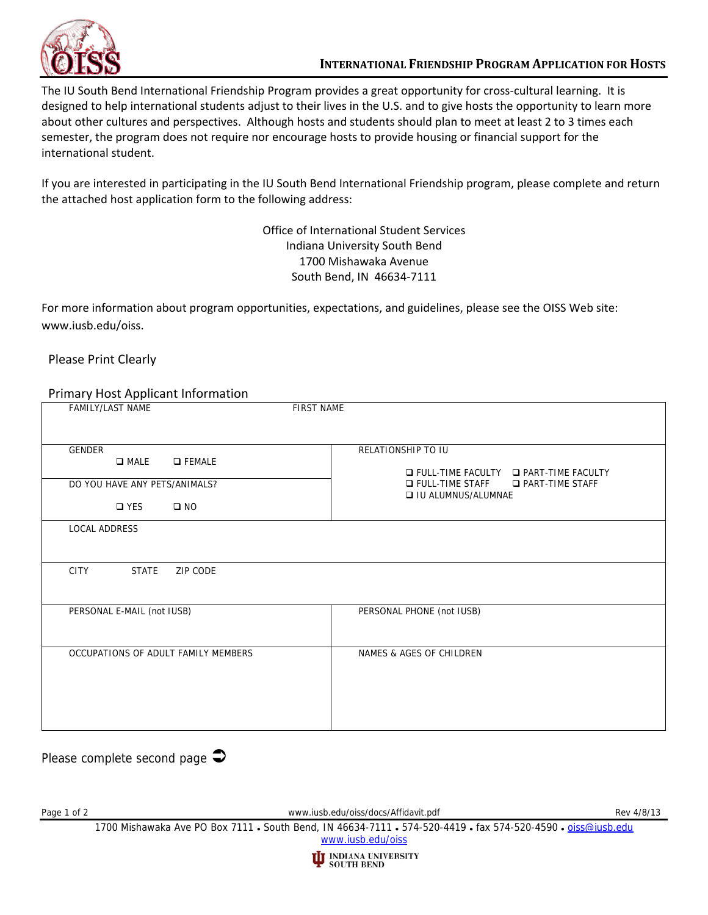

The IU South Bend International Friendship Program provides a great opportunity for cross-cultural learning. It is designed to help international students adjust to their lives in the U.S. and to give hosts the opportunity to learn more about other cultures and perspectives. Although hosts and students should plan to meet at least 2 to 3 times each semester, the program does not require nor encourage hosts to provide housing or financial support for the international student.

If you are interested in participating in the IU South Bend International Friendship program, please complete and return the attached host application form to the following address:

> Office of International Student Services Indiana University South Bend 1700 Mishawaka Avenue South Bend, IN 46634‐7111

For more information about program opportunities, expectations, and guidelines, please see the OISS Web site: www.iusb.edu/oiss.

## Please Print Clearly

## Primary Host Applicant Information

| <b>Filling y Tiost Applicant Information</b>                                                                         |                                                                                                                                                                |
|----------------------------------------------------------------------------------------------------------------------|----------------------------------------------------------------------------------------------------------------------------------------------------------------|
| <b>FAMILY/LAST NAME</b>                                                                                              | <b>FIRST NAME</b>                                                                                                                                              |
| <b>GENDER</b><br>$\square$ MALE<br><b>O</b> FEMALE<br>DO YOU HAVE ANY PETS/ANIMALS?<br>$\square$ YES<br>$\square$ NO | RELATIONSHIP TO IU<br>$\Box$ FULL-TIME FACULTY $\Box$ PART-TIME FACULTY<br><b>D</b> FULL-TIME STAFF<br><b>D</b> PART-TIME STAFF<br><b>Q IU ALUMNUS/ALUMNAE</b> |
| <b>LOCAL ADDRESS</b>                                                                                                 |                                                                                                                                                                |
| <b>CITY</b><br><b>STATE</b><br>ZIP CODE                                                                              |                                                                                                                                                                |
| PERSONAL E-MAIL (not IUSB)                                                                                           | PERSONAL PHONE (not IUSB)                                                                                                                                      |
| OCCUPATIONS OF ADULT FAMILY MEMBERS                                                                                  | NAMES & AGES OF CHILDREN                                                                                                                                       |

Please complete second page  $\triangle$ 

Page 1 of 2 Rev 4/8/13

1700 Mishawaka Ave PO Box 7111 . South Bend, IN 46634-7111 . 574-520-4419 . fax 574-520-4590 . oiss@iusb.edu www.iusb.edu/oiss